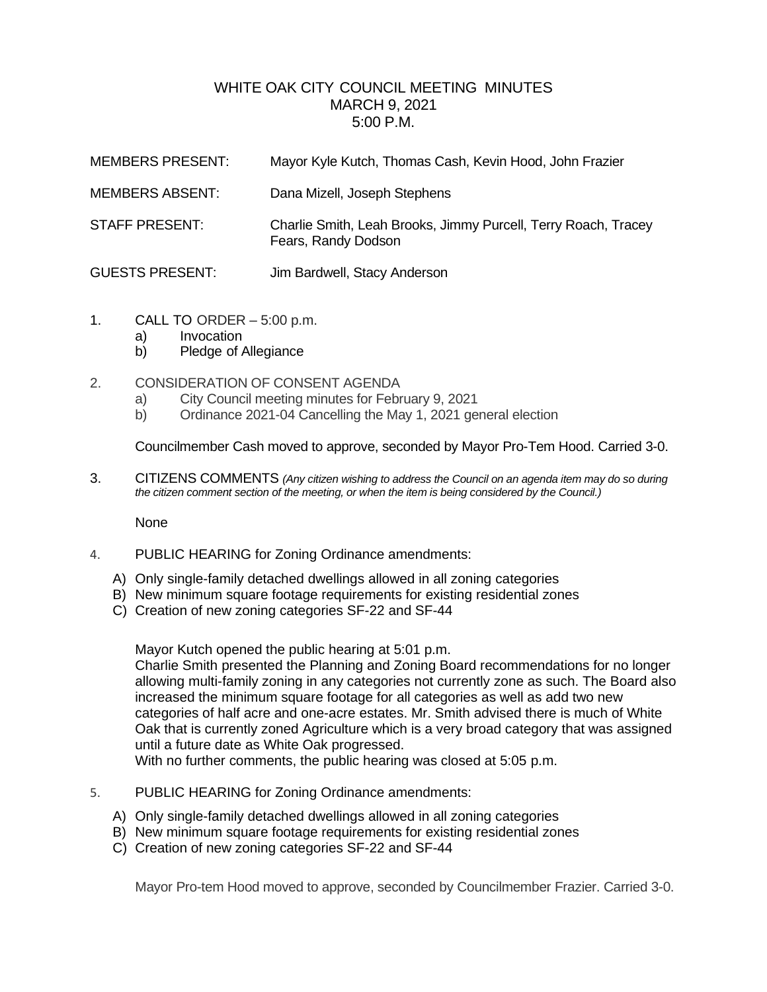## WHITE OAK CITY COUNCIL MEETING MINUTES MARCH 9, 2021 5:00 P.M.

| <b>MEMBERS PRESENT:</b> | Mayor Kyle Kutch, Thomas Cash, Kevin Hood, John Frazier                               |
|-------------------------|---------------------------------------------------------------------------------------|
| <b>MEMBERS ABSENT:</b>  | Dana Mizell, Joseph Stephens                                                          |
| <b>STAFF PRESENT:</b>   | Charlie Smith, Leah Brooks, Jimmy Purcell, Terry Roach, Tracey<br>Fears, Randy Dodson |
| <b>GUESTS PRESENT:</b>  | Jim Bardwell, Stacy Anderson                                                          |

- 1. CALL TO ORDER 5:00 p.m.
	- a) Invocation
	- b) Pledge of Allegiance
- 2. CONSIDERATION OF CONSENT AGENDA
	- a) City Council meeting minutes for February 9, 2021
	- b) Ordinance 2021-04 Cancelling the May 1, 2021 general election

Councilmember Cash moved to approve, seconded by Mayor Pro-Tem Hood. Carried 3-0.

3. CITIZENS COMMENTS *(Any citizen wishing to address the Council on an agenda item may do so during the citizen comment section of the meeting, or when the item is being considered by the Council.)*

None

- 4. PUBLIC HEARING for Zoning Ordinance amendments:
	- A) Only single-family detached dwellings allowed in all zoning categories
	- B) New minimum square footage requirements for existing residential zones
	- C) Creation of new zoning categories SF-22 and SF-44

Mayor Kutch opened the public hearing at 5:01 p.m.

Charlie Smith presented the Planning and Zoning Board recommendations for no longer allowing multi-family zoning in any categories not currently zone as such. The Board also increased the minimum square footage for all categories as well as add two new categories of half acre and one-acre estates. Mr. Smith advised there is much of White Oak that is currently zoned Agriculture which is a very broad category that was assigned until a future date as White Oak progressed.

With no further comments, the public hearing was closed at 5:05 p.m.

- 5. PUBLIC HEARING for Zoning Ordinance amendments:
	- A) Only single-family detached dwellings allowed in all zoning categories
	- B) New minimum square footage requirements for existing residential zones
	- C) Creation of new zoning categories SF-22 and SF-44

Mayor Pro-tem Hood moved to approve, seconded by Councilmember Frazier. Carried 3-0.